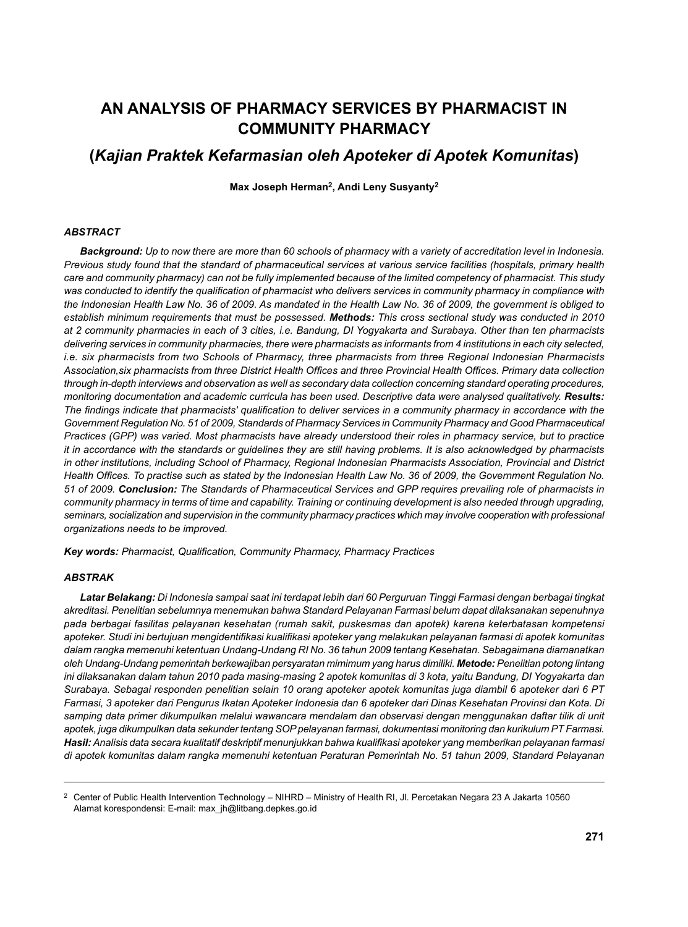# **AN ANALYSIS OF PHARMACY SERVICES BY PHARMACIST IN COMMUNITY PHARMACY**

## **(***Kajian Praktek Kefarmasian oleh Apoteker di Apotek Komunitas***)**

**Max Joseph Herman2, Andi Leny Susyanty2**

#### *ABSTRACT*

*Background: Up to now there are more than 60 schools of pharmacy with a variety of accreditation level in Indonesia. Previous study found that the standard of pharmaceutical services at various service facilities (hospitals, primary health care and community pharmacy) can not be fully implemented because of the limited competency of pharmacist. This study*  was conducted to identify the qualification of pharmacist who delivers services in community pharmacy in compliance with *the Indonesian Health Law No. 36 of 2009. As mandated in the Health Law No. 36 of 2009, the government is obliged to establish minimum requirements that must be possessed. Methods: This cross sectional study was conducted in 2010 at 2 community pharmacies in each of 3 cities, i.e. Bandung, DI Yogyakarta and Surabaya. Other than ten pharmacists*  delivering services in community pharmacies, there were pharmacists as informants from 4 institutions in each city selected, *i.e. six pharmacists from two Schools of Pharmacy, three pharmacists from three Regional Indonesian Pharmacists*  Association,six pharmacists from three District Health Offices and three Provincial Health Offices. Primary data collection *through in-depth interviews and observation as well as secondary data collection concerning standard operating procedures, monitoring documentation and academic curricula has been used. Descriptive data were analysed qualitatively. Results:*  The findings indicate that pharmacists' qualification to deliver services in a community pharmacy in accordance with the *Government Regulation No. 51 of 2009, Standards of Pharmacy Services in Community Pharmacy and Good Pharmaceutical Practices (GPP) was varied. Most pharmacists have already understood their roles in pharmacy service, but to practice it in accordance with the standards or guidelines they are still having problems. It is also acknowledged by pharmacists in other institutions, including School of Pharmacy, Regional Indonesian Pharmacists Association, Provincial and District*  Health Offices. To practise such as stated by the Indonesian Health Law No. 36 of 2009, the Government Regulation No. *51 of 2009. Conclusion: The Standards of Pharmaceutical Services and GPP requires prevailing role of pharmacists in community pharmacy in terms of time and capability. Training or continuing development is also needed through upgrading, seminars, socialization and supervision in the community pharmacy practices which may involve cooperation with professional organizations needs to be improved.*

Key words: Pharmacist, Qualification, Community Pharmacy, Pharmacy Practices

#### *ABSTRAK*

*Latar Belakang: Di Indonesia sampai saat ini terdapat lebih dari 60 Perguruan Tinggi Farmasi dengan berbagai tingkat akreditasi. Penelitian sebelumnya menemukan bahwa Standard Pelayanan Farmasi belum dapat dilaksanakan sepenuhnya pada berbagai fasilitas pelayanan kesehatan (rumah sakit, puskesmas dan apotek) karena keterbatasan kompetensi apoteker. Studi ini bertujuan mengidentifi kasi kualifi kasi apoteker yang melakukan pelayanan farmasi di apotek komunitas dalam rangka memenuhi ketentuan Undang-Undang RI No. 36 tahun 2009 tentang Kesehatan. Sebagaimana diamanatkan oleh Undang-Undang pemerintah berkewajiban persyaratan mimimum yang harus dimiliki. Metode: Penelitian potong lintang ini dilaksanakan dalam tahun 2010 pada masing-masing 2 apotek komunitas di 3 kota, yaitu Bandung, DI Yogyakarta dan Surabaya. Sebagai responden penelitian selain 10 orang apoteker apotek komunitas juga diambil 6 apoteker dari 6 PT Farmasi, 3 apoteker dari Pengurus Ikatan Apoteker Indonesia dan 6 apoteker dari Dinas Kesehatan Provinsi dan Kota. Di samping data primer dikumpulkan melalui wawancara mendalam dan observasi dengan menggunakan daftar tilik di unit apotek, juga dikumpulkan data sekunder tentang SOP pelayanan farmasi, dokumentasi monitoring dan kurikulum PT Farmasi. Hasil: Analisis data secara kualitatif deskriptif menunjukkan bahwa kualifi kasi apoteker yang memberikan pelayanan farmasi di apotek komunitas dalam rangka memenuhi ketentuan Peraturan Pemerintah No. 51 tahun 2009, Standard Pelayanan* 

<sup>2</sup> Center of Public Health Intervention Technology – NIHRD – Ministry of Health RI, Jl. Percetakan Negara 23 A Jakarta 10560 Alamat korespondensi: E-mail: max\_jh@litbang.depkes.go.id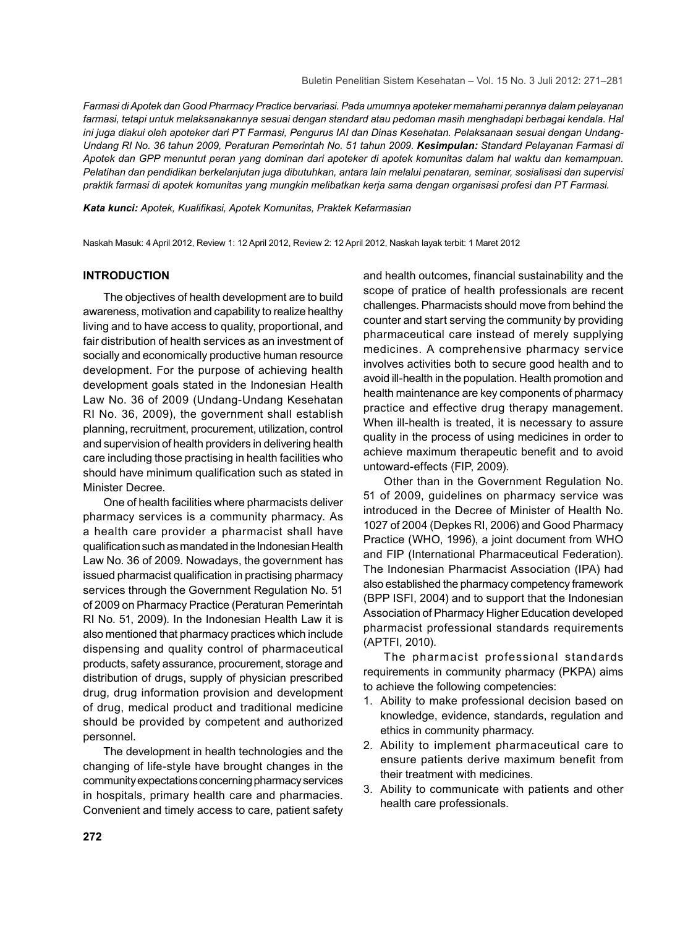*Farmasi di Apotek dan Good Pharmacy Practice bervariasi. Pada umumnya apoteker memahami perannya dalam pelayanan farmasi, tetapi untuk melaksanakannya sesuai dengan standard atau pedoman masih menghadapi berbagai kendala. Hal ini juga diakui oleh apoteker dari PT Farmasi, Pengurus IAI dan Dinas Kesehatan. Pelaksanaan sesuai dengan Undang-Undang RI No. 36 tahun 2009, Peraturan Pemerintah No. 51 tahun 2009. Kesimpulan: Standard Pelayanan Farmasi di Apotek dan GPP menuntut peran yang dominan dari apoteker di apotek komunitas dalam hal waktu dan kemampuan. Pelatihan dan pendidikan berkelanjutan juga dibutuhkan, antara lain melalui penataran, seminar, sosialisasi dan supervisi praktik farmasi di apotek komunitas yang mungkin melibatkan kerja sama dengan organisasi profesi dan PT Farmasi.* 

*Kata kunci: Apotek, Kualifi kasi, Apotek Komunitas, Praktek Kefarmasian*

Naskah Masuk: 4 April 2012, Review 1: 12 April 2012, Review 2: 12 April 2012, Naskah layak terbit: 1 Maret 2012

## **INTRODUCTION**

The objectives of health development are to build awareness, motivation and capability to realize healthy living and to have access to quality, proportional, and fair distribution of health services as an investment of socially and economically productive human resource development. For the purpose of achieving health development goals stated in the Indonesian Health Law No. 36 of 2009 (Undang-Undang Kesehatan RI No. 36, 2009), the government shall establish planning, recruitment, procurement, utilization, control and supervision of health providers in delivering health care including those practising in health facilities who should have minimum qualification such as stated in Minister Decree.

One of health facilities where pharmacists deliver pharmacy services is a community pharmacy. As a health care provider a pharmacist shall have qualification such as mandated in the Indonesian Health Law No. 36 of 2009. Nowadays, the government has issued pharmacist qualification in practising pharmacy services through the Government Regulation No. 51 of 2009 on Pharmacy Practice (Peraturan Pemerintah RI No. 51, 2009). In the Indonesian Health Law it is also mentioned that pharmacy practices which include dispensing and quality control of pharmaceutical products, safety assurance, procurement, storage and distribution of drugs, supply of physician prescribed drug, drug information provision and development of drug, medical product and traditional medicine should be provided by competent and authorized personnel.

The development in health technologies and the changing of life-style have brought changes in the community expectations concerning pharmacy services in hospitals, primary health care and pharmacies. Convenient and timely access to care, patient safety and health outcomes, financial sustainability and the scope of pratice of health professionals are recent challenges. Pharmacists should move from behind the counter and start serving the community by providing pharmaceutical care instead of merely supplying medicines. A comprehensive pharmacy service involves activities both to secure good health and to avoid ill-health in the population. Health promotion and health maintenance are key components of pharmacy practice and effective drug therapy management. When ill-health is treated, it is necessary to assure quality in the process of using medicines in order to achieve maximum therapeutic benefit and to avoid untoward-effects (FIP, 2009).

Other than in the Government Regulation No. 51 of 2009, guidelines on pharmacy service was introduced in the Decree of Minister of Health No. 1027 of 2004 (Depkes RI, 2006) and Good Pharmacy Practice (WHO, 1996), a joint document from WHO and FIP (International Pharmaceutical Federation). The Indonesian Pharmacist Association (IPA) had also established the pharmacy competency framework (BPP ISFI, 2004) and to support that the Indonesian Association of Pharmacy Higher Education developed pharmacist professional standards requirements (APTFI, 2010).

The pharmacist professional standards requirements in community pharmacy (PKPA) aims to achieve the following competencies:

- 1. Ability to make professional decision based on knowledge, evidence, standards, regulation and ethics in community pharmacy.
- 2. Ability to implement pharmaceutical care to ensure patients derive maximum benefit from their treatment with medicines.
- 3. Ability to communicate with patients and other health care professionals.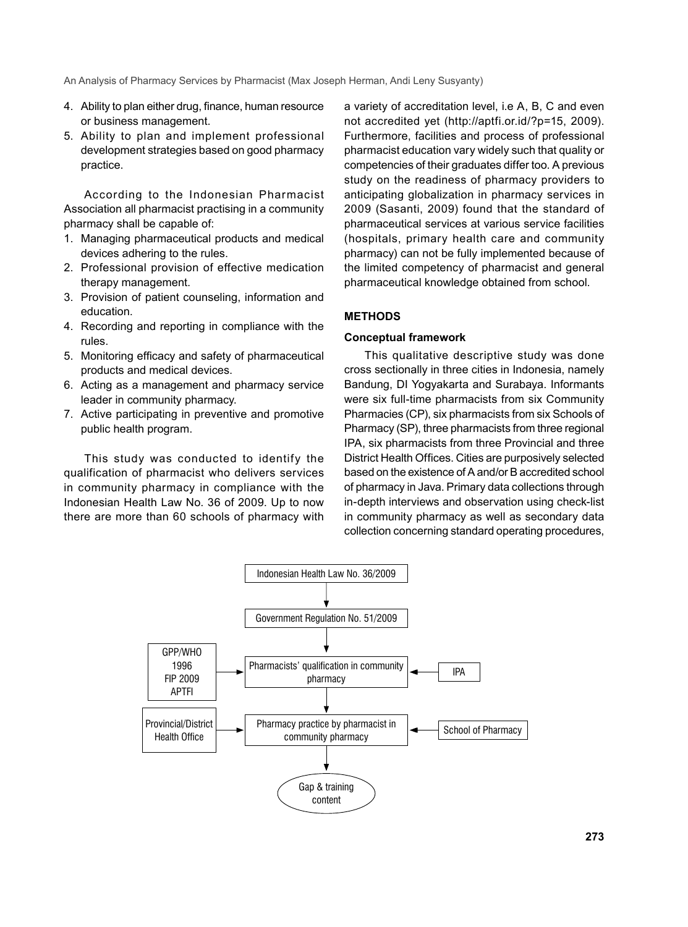- 4. Ability to plan either drug, finance, human resource or business management.
- 5. Ability to plan and implement professional development strategies based on good pharmacy practice.

According to the Indonesian Pharmacist Association all pharmacist practising in a community pharmacy shall be capable of:

- 1. Managing pharmaceutical products and medical devices adhering to the rules.
- 2. Professional provision of effective medication therapy management.
- 3. Provision of patient counseling, information and education.
- 4. Recording and reporting in compliance with the rules.
- 5. Monitoring efficacy and safety of pharmaceutical products and medical devices.
- 6. Acting as a management and pharmacy service leader in community pharmacy.
- 7. Active participating in preventive and promotive public health program.

This study was conducted to identify the qualification of pharmacist who delivers services in community pharmacy in compliance with the Indonesian Health Law No. 36 of 2009. Up to now there are more than 60 schools of pharmacy with a variety of accreditation level, i.e A, B, C and even not accredited yet (http://aptfi.or.id/?p=15, 2009). Furthermore, facilities and process of professional pharmacist education vary widely such that quality or competencies of their graduates differ too. A previous study on the readiness of pharmacy providers to anticipating globalization in pharmacy services in 2009 (Sasanti, 2009) found that the standard of pharmaceutical services at various service facilities (hospitals, primary health care and community pharmacy) can not be fully implemented because of the limited competency of pharmacist and general pharmaceutical knowledge obtained from school.

#### **METHODS**

#### **Conceptual framework**

This qualitative descriptive study was done cross sectionally in three cities in Indonesia, namely Bandung, DI Yogyakarta and Surabaya. Informants were six full-time pharmacists from six Community Pharmacies (CP), six pharmacists from six Schools of Pharmacy (SP), three pharmacists from three regional IPA, six pharmacists from three Provincial and three District Health Offices. Cities are purposively selected based on the existence of A and/or B accredited school of pharmacy in Java. Primary data collections through in-depth interviews and observation using check-list in community pharmacy as well as secondary data collection concerning standard operating procedures,

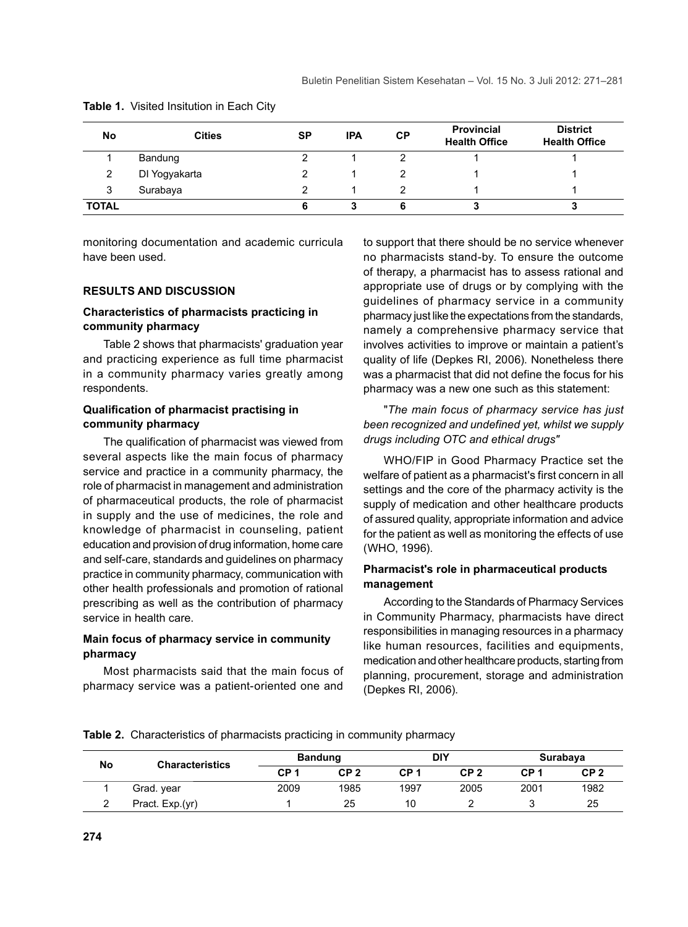| No           | <b>Cities</b> | <b>SP</b> | <b>IPA</b> | <b>CP</b> | <b>Provincial</b><br><b>Health Office</b> | <b>District</b><br><b>Health Office</b> |
|--------------|---------------|-----------|------------|-----------|-------------------------------------------|-----------------------------------------|
|              | Bandung       |           |            |           |                                           |                                         |
| 2            | DI Yogyakarta |           |            |           |                                           |                                         |
| 3            | Surabaya      |           |            |           |                                           |                                         |
| <b>TOTAL</b> |               |           |            |           |                                           | a                                       |

**Table 1.** Visited Insitution in Each City

monitoring documentation and academic curricula have been used.

#### **RESULTS AND DISCUSSION**

## **Characteristics of pharmacists practicing in community pharmacy**

Table 2 shows that pharmacists' graduation year and practicing experience as full time pharmacist in a community pharmacy varies greatly among respondents.

## **Qualifi cation of pharmacist practising in community pharmacy**

The qualification of pharmacist was viewed from several aspects like the main focus of pharmacy service and practice in a community pharmacy, the role of pharmacist in management and administration of pharmaceutical products, the role of pharmacist in supply and the use of medicines, the role and knowledge of pharmacist in counseling, patient education and provision of drug information, home care and self-care, standards and guidelines on pharmacy practice in community pharmacy, communication with other health professionals and promotion of rational prescribing as well as the contribution of pharmacy service in health care.

## **Main focus of pharmacy service in community pharmacy**

Most pharmacists said that the main focus of pharmacy service was a patient-oriented one and

to support that there should be no service whenever no pharmacists stand-by. To ensure the outcome of therapy, a pharmacist has to assess rational and appropriate use of drugs or by complying with the guidelines of pharmacy service in a community pharmacy just like the expectations from the standards, namely a comprehensive pharmacy service that involves activities to improve or maintain a patient's quality of life (Depkes RI, 2006). Nonetheless there was a pharmacist that did not define the focus for his pharmacy was a new one such as this statement:

## "*The main focus of pharmacy service has just been recognized and undefined yet, whilst we supply drugs including OTC and ethical drugs"*

WHO/FIP in Good Pharmacy Practice set the welfare of patient as a pharmacist's first concern in all settings and the core of the pharmacy activity is the supply of medication and other healthcare products of assured quality, appropriate information and advice for the patient as well as monitoring the effects of use (WHO, 1996).

## **Pharmacist's role in pharmaceutical products management**

According to the Standards of Pharmacy Services in Community Pharmacy, pharmacists have direct responsibilities in managing resources in a pharmacy like human resources, facilities and equipments, medication and other healthcare products, starting from planning, procurement, storage and administration (Depkes RI, 2006).

**Table 2.** Characteristics of pharmacists practicing in community pharmacy

| No | <b>Characteristics</b> | <b>Bandung</b> |                 | DIY             |                 | Surabaya        |                 |
|----|------------------------|----------------|-----------------|-----------------|-----------------|-----------------|-----------------|
|    |                        | CP 1           | CP <sub>2</sub> | CP <sub>1</sub> | CP <sub>2</sub> | CP <sub>1</sub> | CP <sub>2</sub> |
|    | Grad. year             | 2009           | 1985            | 1997            | 2005            | 2001            | 1982            |
|    | Pract. Exp.(yr)        |                | 25              | 10              |                 |                 | 25              |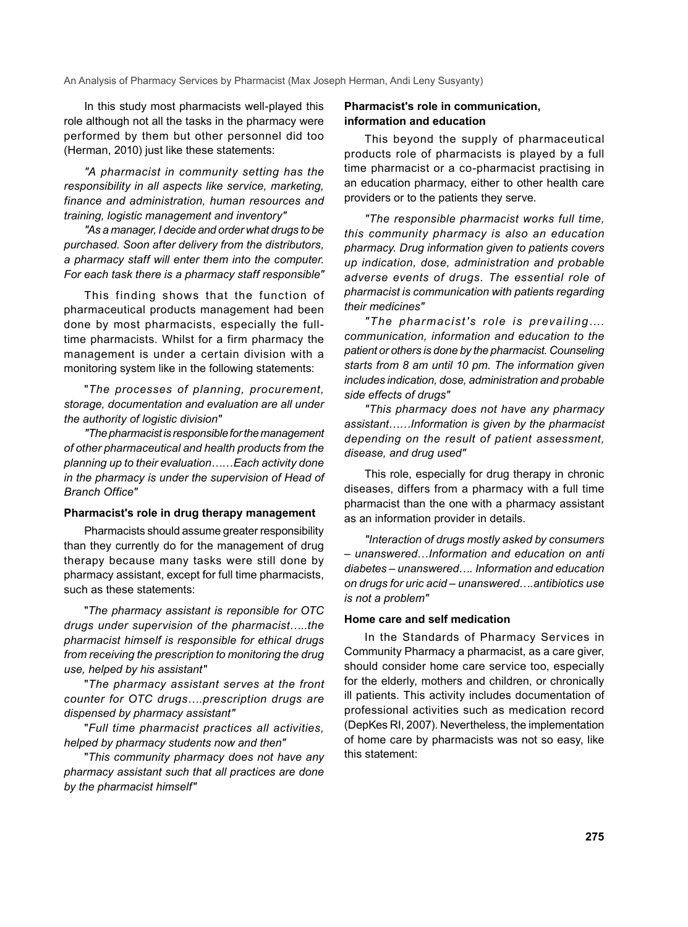In this study most pharmacists well-played this role although not all the tasks in the pharmacy were performed by them but other personnel did too (Herman, 2010) just like these statements:

*"A pharmacist in community setting has the responsibility in all aspects like service, marketing, finance and administration, human resources and training, logistic management and inventory"*

*"As a manager, I decide and order what drugs to be purchased. Soon after delivery from the distributors, a pharmacy staff will enter them into the computer. For each task there is a pharmacy staff responsible"*

This finding shows that the function of pharmaceutical products management had been done by most pharmacists, especially the fulltime pharmacists. Whilst for a firm pharmacy the management is under a certain division with a monitoring system like in the following statements:

"*The processes of planning, procurement, storage, documentation and evaluation are all under the authority of logistic division"*

*"The pharmacist is responsible for the management of other pharmaceutical and health products from the planning up to their evaluation……Each activity done in the pharmacy is under the supervision of Head of Branch Office"* 

#### **Pharmacist's role in drug therapy management**

Pharmacists should assume greater responsibility than they currently do for the management of drug therapy because many tasks were still done by pharmacy assistant, except for full time pharmacists, such as these statements:

"*The pharmacy assistant is reponsible for OTC drugs under supervision of the pharmacist…..the pharmacist himself is responsible for ethical drugs from receiving the prescription to monitoring the drug use, helped by his assistant"*

"*The pharmacy assistant serves at the front counter for OTC drugs….prescription drugs are dispensed by pharmacy assistant"*

"*Full time pharmacist practices all activities, helped by pharmacy students now and then"* 

"*This community pharmacy does not have any pharmacy assistant such that all practices are done by the pharmacist himself"*

## **Pharmacist's role in communication, information and education**

This beyond the supply of pharmaceutical products role of pharmacists is played by a full time pharmacist or a co-pharmacist practising in an education pharmacy, either to other health care providers or to the patients they serve.

*"The responsible pharmacist works full time, this community pharmacy is also an education pharmacy. Drug information given to patients covers up indication, dose, administration and probable adverse events of drugs. The essential role of pharmacist is communication with patients regarding their medicines"*

*"The pharmacist's role is prevailing…. communication, information and education to the patient or others is done by the pharmacist. Counseling starts from 8 am until 10 pm. The information given includes indication, dose, administration and probable side effects of drugs"*

*"This pharmacy does not have any pharmacy assistant……Information is given by the pharmacist depending on the result of patient assessment, disease, and drug used"* 

This role, especially for drug therapy in chronic diseases, differs from a pharmacy with a full time pharmacist than the one with a pharmacy assistant as an information provider in details.

*"Interaction of drugs mostly asked by consumers – unanswered…Information and education on anti diabetes – unanswered…. Information and education on drugs for uric acid – unanswered….antibiotics use is not a problem"*

#### **Home care and self medication**

In the Standards of Pharmacy Services in Community Pharmacy a pharmacist, as a care giver, should consider home care service too, especially for the elderly, mothers and children, or chronically ill patients. This activity includes documentation of professional activities such as medication record (DepKes RI, 2007). Nevertheless, the implementation of home care by pharmacists was not so easy, like this statement: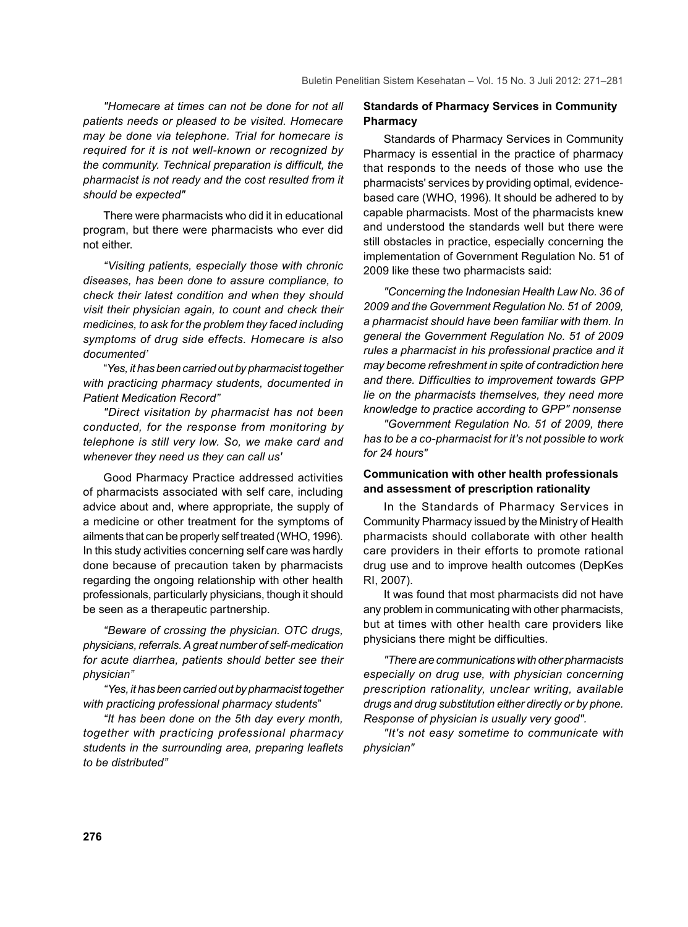*"Homecare at times can not be done for not all patients needs or pleased to be visited. Homecare may be done via telephone. Trial for homecare is required for it is not well-known or recognized by the community. Technical preparation is difficult, the pharmacist is not ready and the cost resulted from it should be expected"*

There were pharmacists who did it in educational program, but there were pharmacists who ever did not either.

*"Visiting patients, especially those with chronic diseases, has been done to assure compliance, to check their latest condition and when they should visit their physician again, to count and check their medicines, to ask for the problem they faced including symptoms of drug side effects. Homecare is also documented'*

"*Yes, it has been carried out by pharmacist together with practicing pharmacy students, documented in Patient Medication Record"*

*"Direct visitation by pharmacist has not been conducted, for the response from monitoring by telephone is still very low. So, we make card and whenever they need us they can call us'*

Good Pharmacy Practice addressed activities of pharmacists associated with self care, including advice about and, where appropriate, the supply of a medicine or other treatment for the symptoms of ailments that can be properly self treated (WHO, 1996). In this study activities concerning self care was hardly done because of precaution taken by pharmacists regarding the ongoing relationship with other health professionals, particularly physicians, though it should be seen as a therapeutic partnership.

*"Beware of crossing the physician. OTC drugs, physicians, referrals. A great number of self-medication for acute diarrhea, patients should better see their physician"* 

*"Yes, it has been carried out by pharmacist together with practicing professional pharmacy students*"

*"It has been done on the 5th day every month, together with practicing professional pharmacy students in the surrounding area, preparing leaflets to be distributed"*

## **Standards of Pharmacy Services in Community Pharmacy**

Standards of Pharmacy Services in Community Pharmacy is essential in the practice of pharmacy that responds to the needs of those who use the pharmacists' services by providing optimal, evidencebased care (WHO, 1996). It should be adhered to by capable pharmacists. Most of the pharmacists knew and understood the standards well but there were still obstacles in practice, especially concerning the implementation of Government Regulation No. 51 of 2009 like these two pharmacists said:

*"Concerning the Indonesian Health Law No. 36 of 2009 and the Government Regulation No. 51 of 2009, a pharmacist should have been familiar with them. In general the Government Regulation No. 51 of 2009 rules a pharmacist in his professional practice and it may become refreshment in spite of contradiction here and there. Difficulties to improvement towards GPP lie on the pharmacists themselves, they need more knowledge to practice according to GPP" nonsense*

*"Government Regulation No. 51 of 2009, there has to be a co-pharmacist for it's not possible to work for 24 hours"*

## **Communication with other health professionals and assessment of prescription rationality**

In the Standards of Pharmacy Services in Community Pharmacy issued by the Ministry of Health pharmacists should collaborate with other health care providers in their efforts to promote rational drug use and to improve health outcomes (DepKes RI, 2007).

It was found that most pharmacists did not have any problem in communicating with other pharmacists, but at times with other health care providers like physicians there might be difficulties.

*"There are communications with other pharmacists especially on drug use, with physician concerning prescription rationality, unclear writing, available drugs and drug substitution either directly or by phone. Response of physician is usually very good".*

*"It's not easy sometime to communicate with physician"*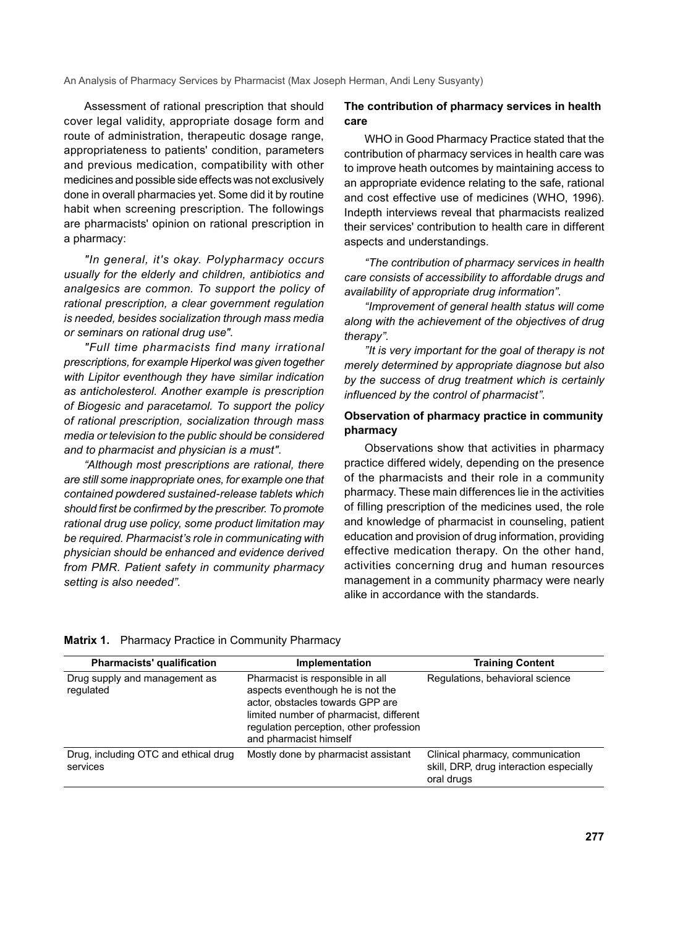Assessment of rational prescription that should cover legal validity, appropriate dosage form and route of administration, therapeutic dosage range, appropriateness to patients' condition, parameters and previous medication, compatibility with other medicines and possible side effects was not exclusively done in overall pharmacies yet. Some did it by routine habit when screening prescription. The followings are pharmacists' opinion on rational prescription in a pharmacy:

*"In general, it's okay. Polypharmacy occurs usually for the elderly and children, antibiotics and analgesics are common. To support the policy of rational prescription, a clear government regulation is needed, besides socialization through mass media or seminars on rational drug use".*

*"Full time pharmacists find many irrational prescriptions, for example Hiperkol was given together with Lipitor eventhough they have similar indication as anticholesterol. Another example is prescription of Biogesic and paracetamol. To support the policy of rational prescription, socialization through mass media or television to the public should be considered and to pharmacist and physician is a must".*

*"Although most prescriptions are rational, there are still some inappropriate ones, for example one that contained powdered sustained-release tablets which should first be confirmed by the prescriber. To promote rational drug use policy, some product limitation may be required. Pharmacist's role in communicating with physician should be enhanced and evidence derived from PMR. Patient safety in community pharmacy setting is also needed".* 

## **The contribution of pharmacy services in health care**

WHO in Good Pharmacy Practice stated that the contribution of pharmacy services in health care was to improve heath outcomes by maintaining access to an appropriate evidence relating to the safe, rational and cost effective use of medicines (WHO, 1996). Indepth interviews reveal that pharmacists realized their services' contribution to health care in different aspects and understandings.

*"The contribution of pharmacy services in health care consists of accessibility to affordable drugs and availability of appropriate drug information".*

*"Improvement of general health status will come along with the achievement of the objectives of drug therapy".* 

*"It is very important for the goal of therapy is not merely determined by appropriate diagnose but also by the success of drug treatment which is certainly influenced by the control of pharmacist".*

## **Observation of pharmacy practice in community pharmacy**

Observations show that activities in pharmacy practice differed widely, depending on the presence of the pharmacists and their role in a community pharmacy. These main differences lie in the activities of filling prescription of the medicines used, the role and knowledge of pharmacist in counseling, patient education and provision of drug information, providing effective medication therapy. On the other hand, activities concerning drug and human resources management in a community pharmacy were nearly alike in accordance with the standards.

|  |  | Matrix 1. Pharmacy Practice in Community Pharmacy |  |  |  |
|--|--|---------------------------------------------------|--|--|--|
|--|--|---------------------------------------------------|--|--|--|

| <b>Pharmacists' qualification</b>                | Implementation                                                                                                                                                                                                           | <b>Training Content</b>                                                                   |
|--------------------------------------------------|--------------------------------------------------------------------------------------------------------------------------------------------------------------------------------------------------------------------------|-------------------------------------------------------------------------------------------|
| Drug supply and management as<br>regulated       | Pharmacist is responsible in all<br>aspects eventhough he is not the<br>actor, obstacles towards GPP are<br>limited number of pharmacist, different<br>regulation perception, other profession<br>and pharmacist himself | Regulations, behavioral science                                                           |
| Drug, including OTC and ethical drug<br>services | Mostly done by pharmacist assistant                                                                                                                                                                                      | Clinical pharmacy, communication<br>skill, DRP, drug interaction especially<br>oral drugs |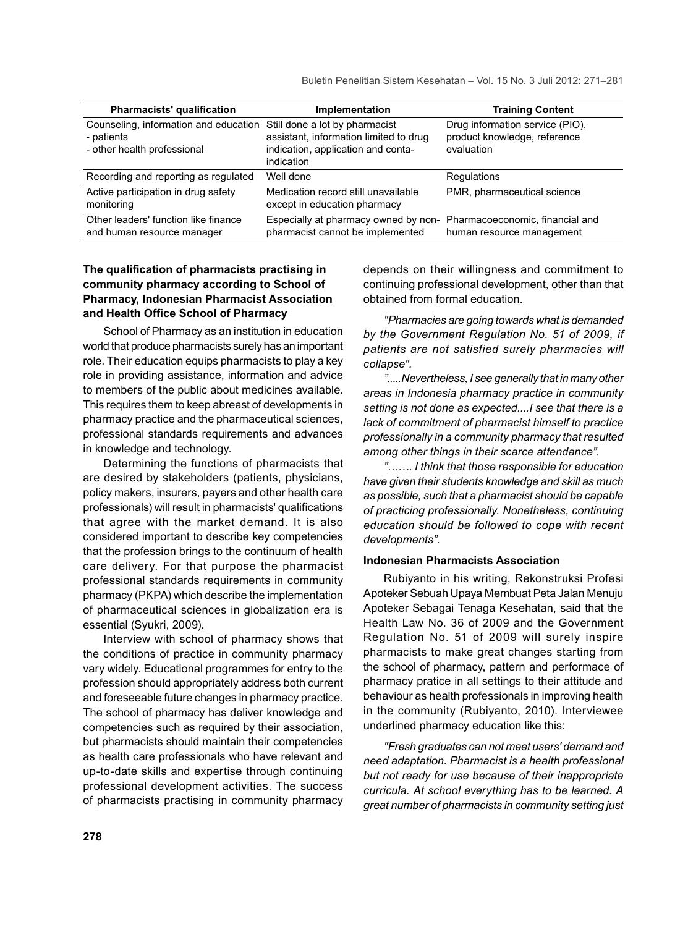Buletin Penelitian Sistem Kesehatan – Vol. 15 No. 3 Juli 2012: 271–281

| <b>Pharmacists' qualification</b>                                                                                 | Implementation                                                                                           | <b>Training Content</b>                                                       |
|-------------------------------------------------------------------------------------------------------------------|----------------------------------------------------------------------------------------------------------|-------------------------------------------------------------------------------|
| Counseling, information and education Still done a lot by pharmacist<br>- patients<br>- other health professional | assistant, information limited to drug<br>indication, application and conta-<br>indication               | Drug information service (PIO),<br>product knowledge, reference<br>evaluation |
| Recording and reporting as regulated                                                                              | Well done                                                                                                | Regulations                                                                   |
| Active participation in drug safety<br>monitoring                                                                 | Medication record still unavailable<br>except in education pharmacy                                      | PMR, pharmaceutical science                                                   |
| Other leaders' function like finance<br>and human resource manager                                                | Especially at pharmacy owned by non- Pharmacoeconomic, financial and<br>pharmacist cannot be implemented | human resource management                                                     |

## The qualification of pharmacists practising in **community pharmacy according to School of Pharmacy, Indonesian Pharmacist Association**  and Health Office School of Pharmacy

School of Pharmacy as an institution in education world that produce pharmacists surely has an important role. Their education equips pharmacists to play a key role in providing assistance, information and advice to members of the public about medicines available. This requires them to keep abreast of developments in pharmacy practice and the pharmaceutical sciences, professional standards requirements and advances in knowledge and technology.

Determining the functions of pharmacists that are desired by stakeholders (patients, physicians, policy makers, insurers, payers and other health care professionals) will result in pharmacists' qualifications that agree with the market demand. It is also considered important to describe key competencies that the profession brings to the continuum of health care delivery. For that purpose the pharmacist professional standards requirements in community pharmacy (PKPA) which describe the implementation of pharmaceutical sciences in globalization era is essential (Syukri, 2009).

Interview with school of pharmacy shows that the conditions of practice in community pharmacy vary widely. Educational programmes for entry to the profession should appropriately address both current and foreseeable future changes in pharmacy practice. The school of pharmacy has deliver knowledge and competencies such as required by their association, but pharmacists should maintain their competencies as health care professionals who have relevant and up-to-date skills and expertise through continuing professional development activities. The success of pharmacists practising in community pharmacy

depends on their willingness and commitment to continuing professional development, other than that obtained from formal education.

*"Pharmacies are going towards what is demanded by the Government Regulation No. 51 of 2009, if patients are not satisfied surely pharmacies will collapse".* 

*".....Nevertheless, I see generally that in many other areas in Indonesia pharmacy practice in community setting is not done as expected....I see that there is a lack of commitment of pharmacist himself to practice professionally in a community pharmacy that resulted among other things in their scarce attendance".* 

*"……. I think that those responsible for education have given their students knowledge and skill as much as possible, such that a pharmacist should be capable of practicing professionally. Nonetheless, continuing education should be followed to cope with recent developments".* 

#### **Indonesian Pharmacists Association**

Rubiyanto in his writing, Rekonstruksi Profesi Apoteker Sebuah Upaya Membuat Peta Jalan Menuju Apoteker Sebagai Tenaga Kesehatan, said that the Health Law No. 36 of 2009 and the Government Regulation No. 51 of 2009 will surely inspire pharmacists to make great changes starting from the school of pharmacy, pattern and performace of pharmacy pratice in all settings to their attitude and behaviour as health professionals in improving health in the community (Rubiyanto, 2010). Interviewee underlined pharmacy education like this:

*"Fresh graduates can not meet users' demand and need adaptation. Pharmacist is a health professional but not ready for use because of their inappropriate curricula. At school everything has to be learned. A great number of pharmacists in community setting just*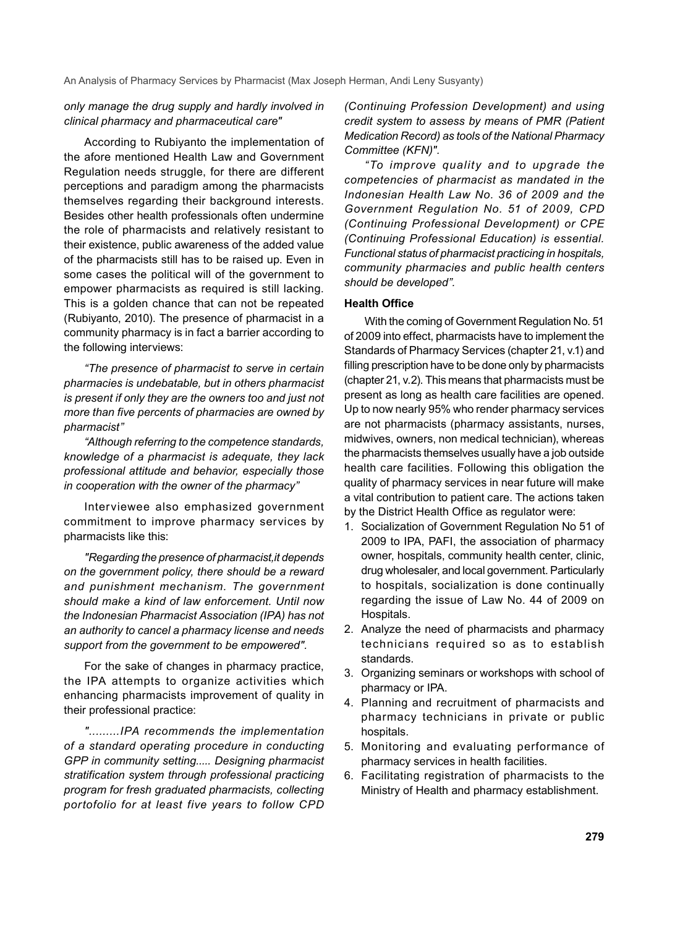*only manage the drug supply and hardly involved in clinical pharmacy and pharmaceutical care"*

According to Rubiyanto the implementation of the afore mentioned Health Law and Government Regulation needs struggle, for there are different perceptions and paradigm among the pharmacists themselves regarding their background interests. Besides other health professionals often undermine the role of pharmacists and relatively resistant to their existence, public awareness of the added value of the pharmacists still has to be raised up. Even in some cases the political will of the government to empower pharmacists as required is still lacking. This is a golden chance that can not be repeated (Rubiyanto, 2010). The presence of pharmacist in a community pharmacy is in fact a barrier according to the following interviews:

*"The presence of pharmacist to serve in certain pharmacies is undebatable, but in others pharmacist is present if only they are the owners too and just not more than five percents of pharmacies are owned by pharmacist"*

*"Although referring to the competence standards, knowledge of a pharmacist is adequate, they lack professional attitude and behavior, especially those in cooperation with the owner of the pharmacy"*

Interviewee also emphasized government commitment to improve pharmacy services by pharmacists like this:

*"Regarding the presence of pharmacist,it depends on the government policy, there should be a reward and punishment mechanism. The government should make a kind of law enforcement. Until now the Indonesian Pharmacist Association (IPA) has not an authority to cancel a pharmacy license and needs support from the government to be empowered".*

For the sake of changes in pharmacy practice, the IPA attempts to organize activities which enhancing pharmacists improvement of quality in their professional practice:

*".........IPA recommends the implementation of a standard operating procedure in conducting GPP in community setting..... Designing pharmacist stratification system through professional practicing program for fresh graduated pharmacists, collecting portofolio for at least five years to follow CPD*  *(Continuing Profession Development) and using credit system to assess by means of PMR (Patient Medication Record) as tools of the National Pharmacy Committee (KFN)".* 

*"To improve quality and to upgrade the competencies of pharmacist as mandated in the Indonesian Health Law No. 36 of 2009 and the Government Regulation No. 51 of 2009, CPD (Continuing Professional Development) or CPE (Continuing Professional Education) is essential. Functional status of pharmacist practicing in hospitals, community pharmacies and public health centers should be developed".*

## **Health Office**

With the coming of Government Regulation No. 51 of 2009 into effect, pharmacists have to implement the Standards of Pharmacy Services (chapter 21, v.1) and filling prescription have to be done only by pharmacists (chapter 21, v.2). This means that pharmacists must be present as long as health care facilities are opened. Up to now nearly 95% who render pharmacy services are not pharmacists (pharmacy assistants, nurses, midwives, owners, non medical technician), whereas the pharmacists themselves usually have a job outside health care facilities. Following this obligation the quality of pharmacy services in near future will make a vital contribution to patient care. The actions taken by the District Health Office as regulator were:

- 1. Socialization of Government Regulation No 51 of 2009 to IPA, PAFI, the association of pharmacy owner, hospitals, community health center, clinic, drug wholesaler, and local government. Particularly to hospitals, socialization is done continually regarding the issue of Law No. 44 of 2009 on Hospitals.
- 2. Analyze the need of pharmacists and pharmacy technicians required so as to establish standards.
- 3. Organizing seminars or workshops with school of pharmacy or IPA.
- 4. Planning and recruitment of pharmacists and pharmacy technicians in private or public hospitals.
- 5. Monitoring and evaluating performance of pharmacy services in health facilities.
- 6. Facilitating registration of pharmacists to the Ministry of Health and pharmacy establishment.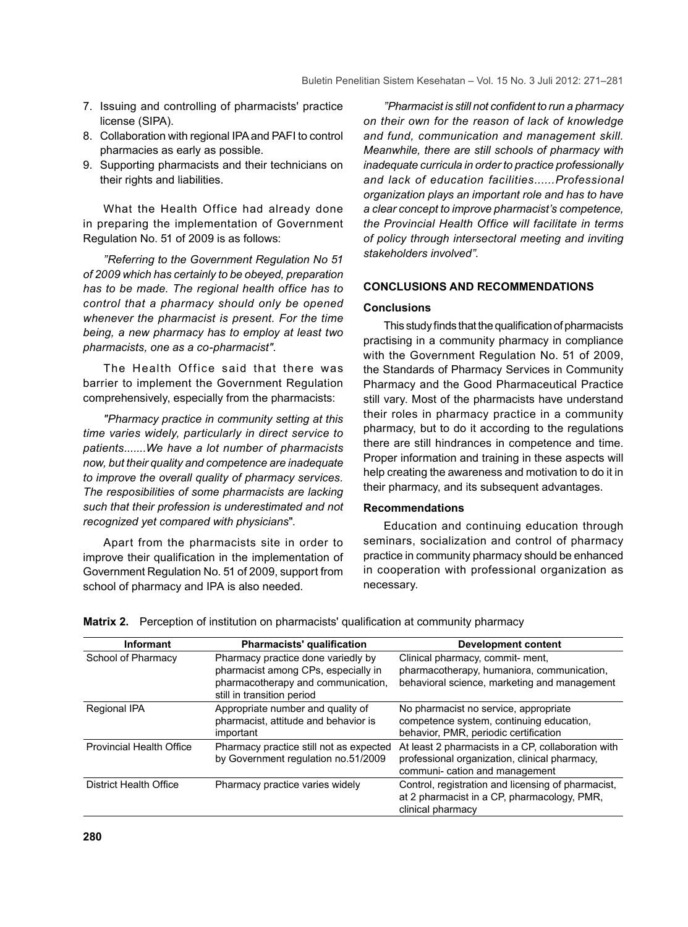- 7. Issuing and controlling of pharmacists' practice license (SIPA).
- 8. Collaboration with regional IPA and PAFI to control pharmacies as early as possible.
- 9. Supporting pharmacists and their technicians on their rights and liabilities.

What the Health Office had already done in preparing the implementation of Government Regulation No. 51 of 2009 is as follows:

*"Referring to the Government Regulation No 51 of 2009 which has certainly to be obeyed, preparation has to be made. The regional health office has to control that a pharmacy should only be opened whenever the pharmacist is present. For the time being, a new pharmacy has to employ at least two pharmacists, one as a co-pharmacist".*

The Health Office said that there was barrier to implement the Government Regulation comprehensively, especially from the pharmacists:

*"Pharmacy practice in community setting at this time varies widely, particularly in direct service to patients.......We have a lot number of pharmacists now, but their quality and competence are inadequate to improve the overall quality of pharmacy services. The resposibilities of some pharmacists are lacking such that their profession is underestimated and not recognized yet compared with physicians*".

Apart from the pharmacists site in order to improve their qualification in the implementation of Government Regulation No. 51 of 2009, support from school of pharmacy and IPA is also needed.

*"Pharmacist is still not confident to run a pharmacy on their own for the reason of lack of knowledge and fund, communication and management skill. Meanwhile, there are still schools of pharmacy with inadequate curricula in order to practice professionally and lack of education facilities......Professional organization plays an important role and has to have a clear concept to improve pharmacist's competence, the Provincial Health Office will facilitate in terms of policy through intersectoral meeting and inviting stakeholders involved".* 

## **CONCLUSIONS AND RECOMMENDATIONS**

#### **Conclusions**

This study finds that the qualification of pharmacists practising in a community pharmacy in compliance with the Government Regulation No. 51 of 2009, the Standards of Pharmacy Services in Community Pharmacy and the Good Pharmaceutical Practice still vary. Most of the pharmacists have understand their roles in pharmacy practice in a community pharmacy, but to do it according to the regulations there are still hindrances in competence and time. Proper information and training in these aspects will help creating the awareness and motivation to do it in their pharmacy, and its subsequent advantages.

#### **Recommendations**

Education and continuing education through seminars, socialization and control of pharmacy practice in community pharmacy should be enhanced in cooperation with professional organization as necessary.

| <b>Informant</b>                | <b>Pharmacists' qualification</b>                                                                                                             | <b>Development content</b>                                                                                                           |
|---------------------------------|-----------------------------------------------------------------------------------------------------------------------------------------------|--------------------------------------------------------------------------------------------------------------------------------------|
| School of Pharmacy              | Pharmacy practice done variedly by<br>pharmacist among CPs, especially in<br>pharmacotherapy and communication,<br>still in transition period | Clinical pharmacy, commit- ment,<br>pharmacotherapy, humaniora, communication,<br>behavioral science, marketing and management       |
| Regional IPA                    | Appropriate number and quality of<br>pharmacist, attitude and behavior is<br>important                                                        | No pharmacist no service, appropriate<br>competence system, continuing education,<br>behavior, PMR, periodic certification           |
| <b>Provincial Health Office</b> | Pharmacy practice still not as expected<br>by Government regulation no.51/2009                                                                | At least 2 pharmacists in a CP, collaboration with<br>professional organization, clinical pharmacy,<br>communi-cation and management |
| District Health Office          | Pharmacy practice varies widely                                                                                                               | Control, registration and licensing of pharmacist,<br>at 2 pharmacist in a CP, pharmacology, PMR,<br>clinical pharmacy               |

**Matrix 2.** Perception of institution on pharmacists' qualification at community pharmacy